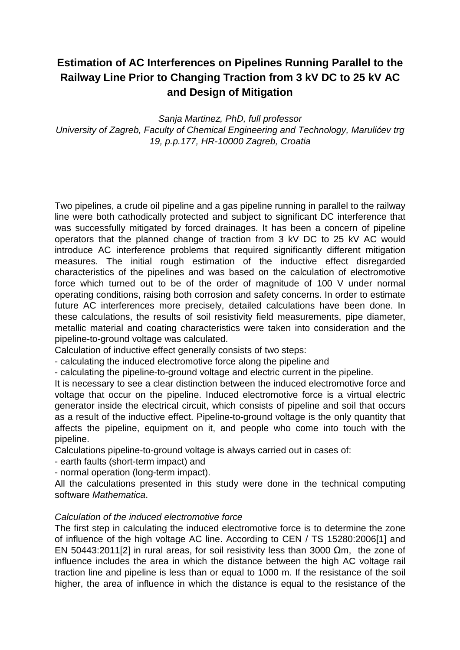## **Estimation of AC Interferences on Pipelines Running Parallel to the Railway Line Prior to Changing Traction from 3 kV DC to 25 kV AC and Design of Mitigation**

Sanja Martinez, PhD, full professor University of Zagreb, Faculty of Chemical Engineering and Technology, Maruli*ć*ev trg 19, p.p.177, HR-10000 Zagreb, Croatia

Two pipelines, a crude oil pipeline and a gas pipeline running in parallel to the railway line were both cathodically protected and subject to significant DC interference that was successfully mitigated by forced drainages. It has been a concern of pipeline operators that the planned change of traction from 3 kV DC to 25 kV AC would introduce AC interference problems that required significantly different mitigation measures. The initial rough estimation of the inductive effect disregarded characteristics of the pipelines and was based on the calculation of electromotive force which turned out to be of the order of magnitude of 100 V under normal operating conditions, raising both corrosion and safety concerns. In order to estimate future AC interferences more precisely, detailed calculations have been done. In these calculations, the results of soil resistivity field measurements, pipe diameter, metallic material and coating characteristics were taken into consideration and the pipeline-to-ground voltage was calculated.

Calculation of inductive effect generally consists of two steps:

- calculating the induced electromotive force along the pipeline and

- calculating the pipeline-to-ground voltage and electric current in the pipeline.

It is necessary to see a clear distinction between the induced electromotive force and voltage that occur on the pipeline. Induced electromotive force is a virtual electric generator inside the electrical circuit, which consists of pipeline and soil that occurs as a result of the inductive effect. Pipeline-to-ground voltage is the only quantity that affects the pipeline, equipment on it, and people who come into touch with the pipeline.

Calculations pipeline-to-ground voltage is always carried out in cases of:

- earth faults (short-term impact) and

- normal operation (long-term impact).

All the calculations presented in this study were done in the technical computing software Mathematica.

## Calculation of the induced electromotive force

The first step in calculating the induced electromotive force is to determine the zone of influence of the high voltage AC line. According to CEN / TS 15280:2006[1] and EN 50443:2011[2] in rural areas, for soil resistivity less than 3000 Ωm, the zone of influence includes the area in which the distance between the high AC voltage rail traction line and pipeline is less than or equal to 1000 m. If the resistance of the soil higher, the area of influence in which the distance is equal to the resistance of the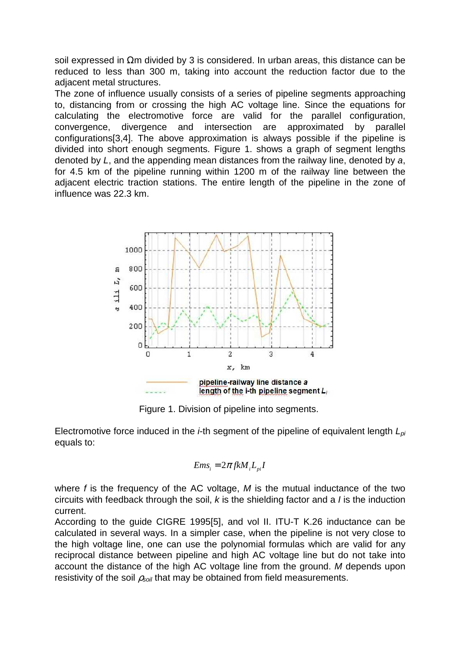soil expressed in Ωm divided by 3 is considered. In urban areas, this distance can be reduced to less than 300 m, taking into account the reduction factor due to the adjacent metal structures.

The zone of influence usually consists of a series of pipeline segments approaching to, distancing from or crossing the high AC voltage line. Since the equations for calculating the electromotive force are valid for the parallel configuration, convergence, divergence and intersection are approximated by parallel configurations[3,4]. The above approximation is always possible if the pipeline is divided into short enough segments. Figure 1. shows a graph of segment lengths denoted by L, and the appending mean distances from the railway line, denoted by a, for 4.5 km of the pipeline running within 1200 m of the railway line between the adjacent electric traction stations. The entire length of the pipeline in the zone of influence was 22.3 km.



Figure 1. Division of pipeline into segments.

Electromotive force induced in the *i*-th segment of the pipeline of equivalent length  $L_{pi}$ equals to:

$$
Ems_i = 2\pi f kM_i L_{pi} I
$$

where  $f$  is the frequency of the AC voltage,  $M$  is the mutual inductance of the two circuits with feedback through the soil,  $k$  is the shielding factor and a  $l$  is the induction current.

According to the guide CIGRE 1995[5], and vol II. ITU-T K.26 inductance can be calculated in several ways. In a simpler case, when the pipeline is not very close to the high voltage line, one can use the polynomial formulas which are valid for any reciprocal distance between pipeline and high AC voltage line but do not take into account the distance of the high AC voltage line from the ground. M depends upon resistivity of the soil  $\rho_{soli}$  that may be obtained from field measurements.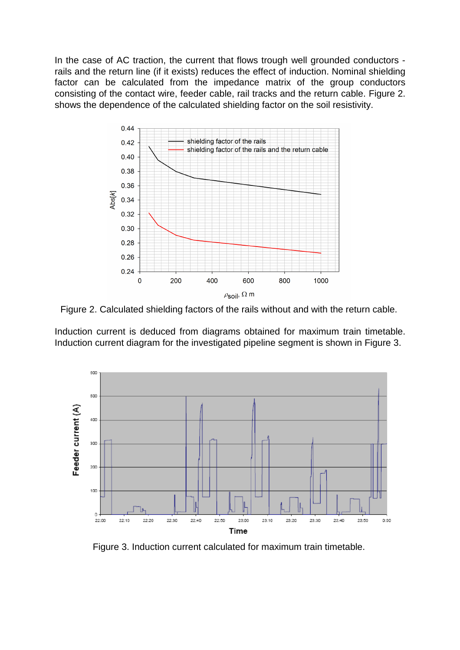In the case of AC traction, the current that flows trough well grounded conductors rails and the return line (if it exists) reduces the effect of induction. Nominal shielding factor can be calculated from the impedance matrix of the group conductors consisting of the contact wire, feeder cable, rail tracks and the return cable. Figure 2. shows the dependence of the calculated shielding factor on the soil resistivity.



Figure 2. Calculated shielding factors of the rails without and with the return cable.

Induction current is deduced from diagrams obtained for maximum train timetable. Induction current diagram for the investigated pipeline segment is shown in Figure 3.



Figure 3. Induction current calculated for maximum train timetable.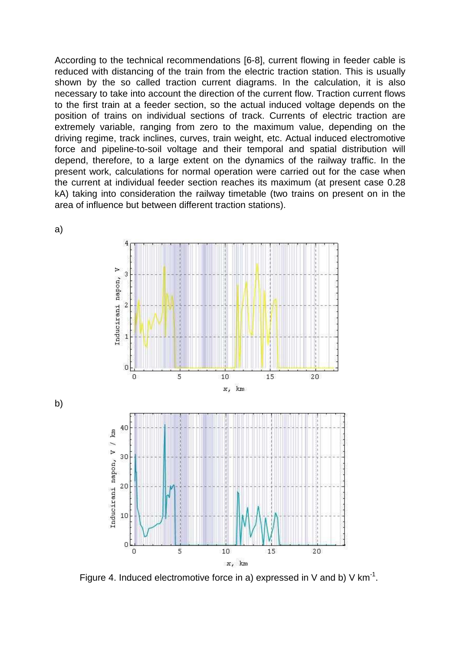According to the technical recommendations [6-8], current flowing in feeder cable is reduced with distancing of the train from the electric traction station. This is usually shown by the so called traction current diagrams. In the calculation, it is also necessary to take into account the direction of the current flow. Traction current flows to the first train at a feeder section, so the actual induced voltage depends on the position of trains on individual sections of track. Currents of electric traction are extremely variable, ranging from zero to the maximum value, depending on the driving regime, track inclines, curves, train weight, etc. Actual induced electromotive force and pipeline-to-soil voltage and their temporal and spatial distribution will depend, therefore, to a large extent on the dynamics of the railway traffic. In the present work, calculations for normal operation were carried out for the case when the current at individual feeder section reaches its maximum (at present case 0.28 kA) taking into consideration the railway timetable (two trains on present on in the area of influence but between different traction stations).



a)

b)

Figure 4. Induced electromotive force in a) expressed in V and b) V  $km^{-1}$ .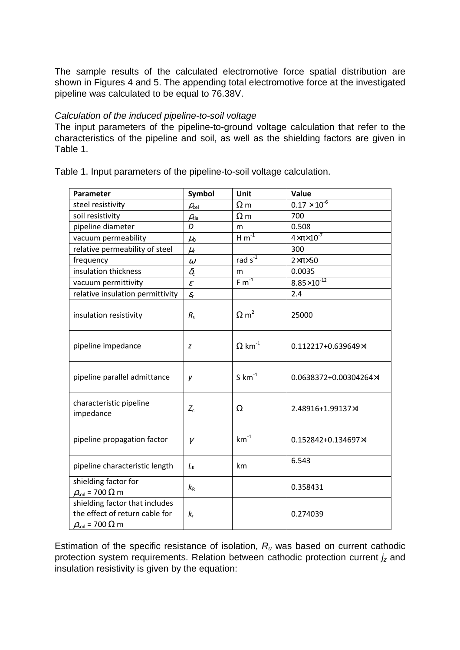The sample results of the calculated electromotive force spatial distribution are shown in Figures 4 and 5. The appending total electromotive force at the investigated pipeline was calculated to be equal to 76.38V.

## Calculation of the induced pipeline-to-soil voltage

The input parameters of the pipeline-to-ground voltage calculation that refer to the characteristics of the pipeline and soil, as well as the shielding factors are given in Table 1.

**Parameter Symbol Unit Value** steel resistivity  $\rho_{\text{cel}}$   $\Omega$  m  $0.17 \times 10^{-6}$ soil resistivity  $\rho_{\text{tia}}$   $\Omega \text{ m}$  700 pipeline diameter **D** m 0.508 vacuum permeability  $\sqrt{\mu_0}$  H m<sup>-1</sup>  $4 \times \pi \times 10^{-7}$ relative permeability of steel  $\mu_r$  300 frequency  $\theta$  rad s<sup>-1</sup> 2×π×50 insulation thickness  $\delta_c$  m 0.0035 vacuum permittivity  $\epsilon$  Fm<sup>-1</sup>  $8.85 \times 10^{-12}$ relative insulation permittivity  $\left| \right|$   $\varepsilon$  2.4 insulation resistivity  $R_u$   $\left| \Omega \right|^{2}$ 25000 pipeline impedance  $\vert z \vert$   $\Omega$  km<sup>-1</sup>  $\vert 0.112217+0.639649 \times$ pipeline parallel admittance  $y = \frac{1}{5}$  km<sup>-1</sup>  $\frac{1}{2}$  0.0638372+0.00304264×I characteristic pipeline impedance  $Z_c$   $\Omega$  2.48916+1.99137×I pipeline propagation factor  $\vert \gamma \vert$  km<sup>-1</sup> 0.152842+0.134697×I pipeline characteristic length  $L_{K}$  km  $\begin{bmatrix} 6.543 \end{bmatrix}$ shielding factor for  $ρ<sub>soil</sub> = 700 Ω m$  $k_{\rm R}$  0.358431 shielding factor that includes the effect of return cable for *k*r 0.274039

Table 1. Input parameters of the pipeline-to-soil voltage calculation.

Estimation of the specific resistance of isolation,  $R_u$  was based on current cathodic protection system requirements. Relation between cathodic protection current  $j_z$  and insulation resistivity is given by the equation:

 $ρ_{\text{sol}}$  = 700 Ω m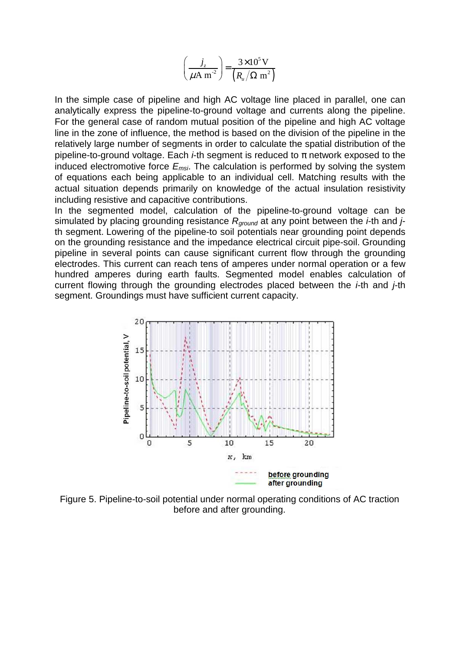$$
\left(\frac{j_z}{\mu A m^2}\right) = \frac{3 \times 10^5 V}{\left(R_u / \Omega m^2\right)}
$$

In the simple case of pipeline and high AC voltage line placed in parallel, one can analytically express the pipeline-to-ground voltage and currents along the pipeline. For the general case of random mutual position of the pipeline and high AC voltage line in the zone of influence, the method is based on the division of the pipeline in the relatively large number of segments in order to calculate the spatial distribution of the pipeline-to-ground voltage. Each *i*-th segment is reduced to  $\pi$  network exposed to the induced electromotive force  $E_{msi}$ . The calculation is performed by solving the system of equations each being applicable to an individual cell. Matching results with the actual situation depends primarily on knowledge of the actual insulation resistivity including resistive and capacitive contributions.

In the segmented model, calculation of the pipeline-to-ground voltage can be simulated by placing grounding resistance  $R_{ground}$  at any point between the *i*-th and *j*th segment. Lowering of the pipeline-to soil potentials near grounding point depends on the grounding resistance and the impedance electrical circuit pipe-soil. Grounding pipeline in several points can cause significant current flow through the grounding electrodes. This current can reach tens of amperes under normal operation or a few hundred amperes during earth faults. Segmented model enables calculation of current flowing through the grounding electrodes placed between the  $i$ -th and  $i$ -th segment. Groundings must have sufficient current capacity.



Figure 5. Pipeline-to-soil potential under normal operating conditions of AC traction before and after grounding.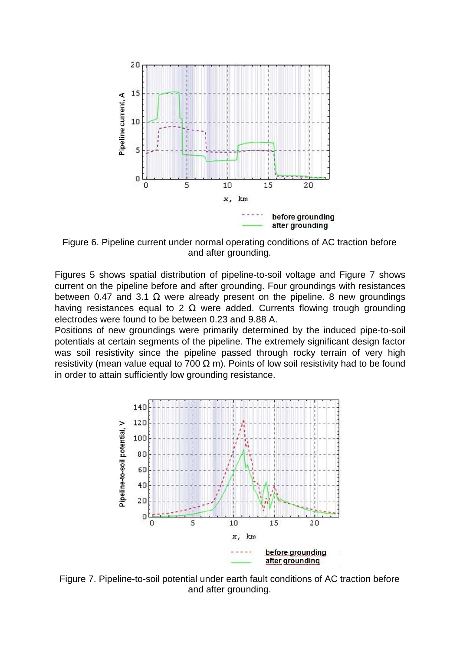

Figure 6. Pipeline current under normal operating conditions of AC traction before and after grounding.

Figures 5 shows spatial distribution of pipeline-to-soil voltage and Figure 7 shows current on the pipeline before and after grounding. Four groundings with resistances between 0.47 and 3.1  $\Omega$  were already present on the pipeline. 8 new groundings having resistances equal to 2  $\Omega$  were added. Currents flowing trough grounding electrodes were found to be between 0.23 and 9.88 A.

Positions of new groundings were primarily determined by the induced pipe-to-soil potentials at certain segments of the pipeline. The extremely significant design factor was soil resistivity since the pipeline passed through rocky terrain of very high resistivity (mean value equal to 700  $\Omega$  m). Points of low soil resistivity had to be found in order to attain sufficiently low grounding resistance.



Figure 7. Pipeline-to-soil potential under earth fault conditions of AC traction before and after grounding.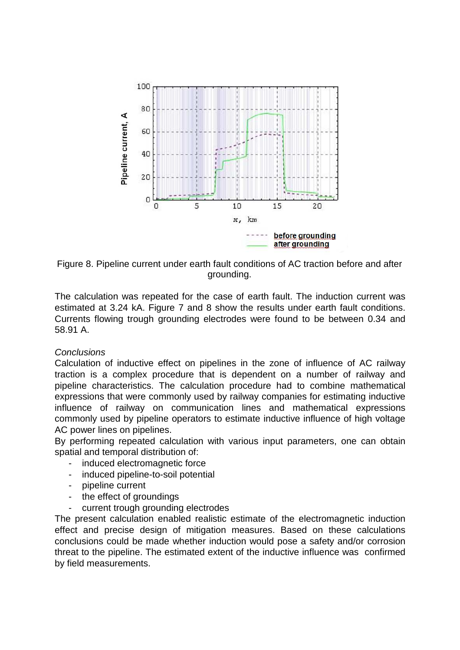

Figure 8. Pipeline current under earth fault conditions of AC traction before and after grounding.

The calculation was repeated for the case of earth fault. The induction current was estimated at 3.24 kA. Figure 7 and 8 show the results under earth fault conditions. Currents flowing trough grounding electrodes were found to be between 0.34 and 58.91 A.

## **Conclusions**

Calculation of inductive effect on pipelines in the zone of influence of AC railway traction is a complex procedure that is dependent on a number of railway and pipeline characteristics. The calculation procedure had to combine mathematical expressions that were commonly used by railway companies for estimating inductive influence of railway on communication lines and mathematical expressions commonly used by pipeline operators to estimate inductive influence of high voltage AC power lines on pipelines.

By performing repeated calculation with various input parameters, one can obtain spatial and temporal distribution of:

- induced electromagnetic force
- induced pipeline-to-soil potential
- pipeline current
- the effect of groundings
- current trough grounding electrodes

The present calculation enabled realistic estimate of the electromagnetic induction effect and precise design of mitigation measures. Based on these calculations conclusions could be made whether induction would pose a safety and/or corrosion threat to the pipeline. The estimated extent of the inductive influence was confirmed by field measurements.